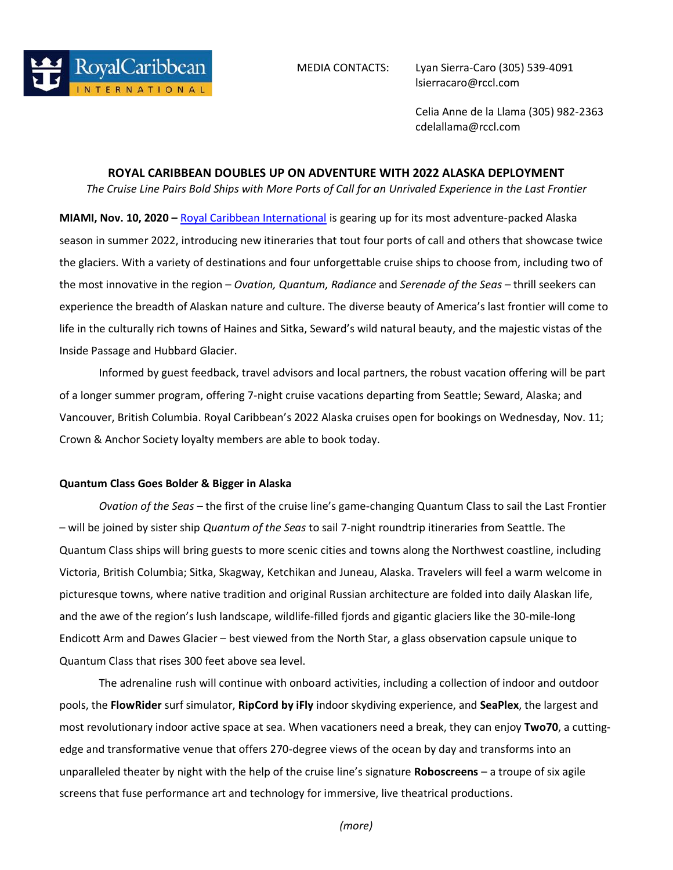

MEDIA CONTACTS: Lyan Sierra-Caro (305) 539-4091 lsierracaro@rccl.com

> Celia Anne de la Llama (305) 982-2363 cdelallama@rccl.com

## **ROYAL CARIBBEAN DOUBLES UP ON ADVENTURE WITH 2022 ALASKA DEPLOYMENT**

*The Cruise Line Pairs Bold Ships with More Ports of Call for an Unrivaled Experience in the Last Frontier*

**MIAMI, Nov. 10, 2020 –** [Royal Caribbean International](https://www.royalcaribbean.com/?ecid=pr_int_pblc_r_wb_3338) is gearing up for its most adventure-packed Alaska season in summer 2022, introducing new itineraries that tout four ports of call and others that showcase twice the glaciers. With a variety of destinations and four unforgettable cruise ships to choose from, including two of the most innovative in the region – *Ovation, Quantum, Radiance* and *Serenade of the Seas* – thrill seekers can experience the breadth of Alaskan nature and culture. The diverse beauty of America's last frontier will come to life in the culturally rich towns of Haines and Sitka, Seward's wild natural beauty, and the majestic vistas of the Inside Passage and Hubbard Glacier.

Informed by guest feedback, travel advisors and local partners, the robust vacation offering will be part of a longer summer program, offering 7-night cruise vacations departing from Seattle; Seward, Alaska; and Vancouver, British Columbia. Royal Caribbean's 2022 Alaska cruises open for bookings on Wednesday, Nov. 11; Crown & Anchor Society loyalty members are able to book today.

## **Quantum Class Goes Bolder & Bigger in Alaska**

*Ovation of the Seas* – the first of the cruise line's game-changing Quantum Class to sail the Last Frontier – will be joined by sister ship *Quantum of the Seas* to sail 7-night roundtrip itineraries from Seattle. The Quantum Class ships will bring guests to more scenic cities and towns along the Northwest coastline, including Victoria, British Columbia; Sitka, Skagway, Ketchikan and Juneau, Alaska. Travelers will feel a warm welcome in picturesque towns, where native tradition and original Russian architecture are folded into daily Alaskan life, and the awe of the region's lush landscape, wildlife-filled fjords and gigantic glaciers like the 30-mile-long Endicott Arm and Dawes Glacier – best viewed from the North Star, a glass observation capsule unique to Quantum Class that rises 300 feet above sea level.

The adrenaline rush will continue with onboard activities, including a collection of indoor and outdoor pools, the **FlowRider** surf simulator, **RipCord by iFly** indoor skydiving experience, and **SeaPlex**, the largest and most revolutionary indoor active space at sea. When vacationers need a break, they can enjoy **Two70**, a cuttingedge and transformative venue that offers 270-degree views of the ocean by day and transforms into an unparalleled theater by night with the help of the cruise line's signature **Roboscreens** – a troupe of six agile screens that fuse performance art and technology for immersive, live theatrical productions.